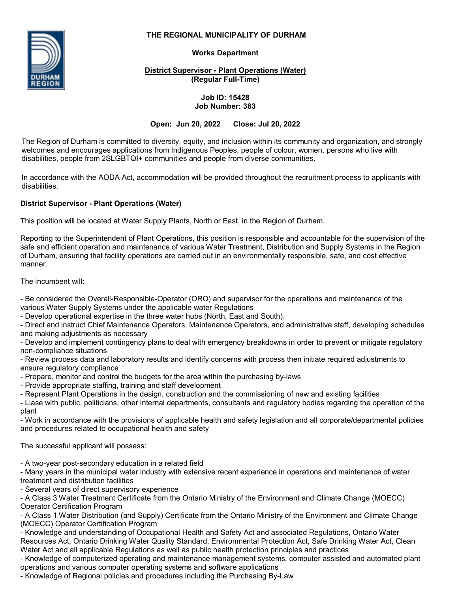# **THE REGIONAL MUNICIPALITY OF DURHAM**



# **Works Department**

**District Supervisor - Plant Operations (Water) (Regular Full-Time)**

#### **Job ID: 15428 Job Number: 383**

## **Open: Jun 20, 2022 Close: Jul 20, 2022**

The Region of Durham is committed to diversity, equity, and inclusion within its community and organization, and strongly welcomes and encourages applications from Indigenous Peoples, people of colour, women, persons who live with disabilities, people from 2SLGBTQI+ communities and people from diverse communities.

In accordance with the AODA Act, accommodation will be provided throughout the recruitment process to applicants with disabilities.

# **District Supervisor - Plant Operations (Water)**

This position will be located at Water Supply Plants, North or East, in the Region of Durham.

Reporting to the Superintendent of Plant Operations, this position is responsible and accountable for the supervision of the safe and efficient operation and maintenance of various Water Treatment, Distribution and Supply Systems in the Region of Durham, ensuring that facility operations are carried out in an environmentally responsible, safe, and cost effective manner.

The incumbent will:

- Be considered the Overall-Responsible-Operator (ORO) and supervisor for the operations and maintenance of the various Water Supply Systems under the applicable water Regulations

- Develop operational expertise in the three water hubs (North, East and South).

- Direct and instruct Chief Maintenance Operators, Maintenance Operators, and administrative staff, developing schedules and making adjustments as necessary

- Develop and implement contingency plans to deal with emergency breakdowns in order to prevent or mitigate regulatory non-compliance situations

- Review process data and laboratory results and identify concerns with process then initiate required adjustments to ensure regulatory compliance

- Prepare, monitor and control the budgets for the area within the purchasing by-laws

- Provide appropriate staffing, training and staff development

- Represent Plant Operations in the design, construction and the commissioning of new and existing facilities

- Liase with public, politicians, other internal departments, consultants and regulatory bodies regarding the operation of the plant

- Work in accordance with the provisions of applicable health and safety legislation and all corporate/departmental policies and procedures related to occupational health and safety

The successful applicant will possess:

- A two-year post-secondary education in a related field

- Many years in the municipal water industry with extensive recent experience in operations and maintenance of water treatment and distribution facilities

- Several years of direct supervisory experience

- A Class 3 Water Treatment Certificate from the Ontario Ministry of the Environment and Climate Change (MOECC) Operator Certification Program

- A Class 1 Water Distribution (and Supply) Certificate from the Ontario Ministry of the Environment and Climate Change (MOECC) Operator Certification Program

- Knowledge and understanding of Occupational Health and Safety Act and associated Regulations, Ontario Water Resources Act, Ontario Drinking Water Quality Standard, Environmental Protection Act, Safe Drinking Water Act, Clean Water Act and all applicable Regulations as well as public health protection principles and practices

- Knowledge of computerized operating and maintenance management systems, computer assisted and automated plant operations and various computer operating systems and software applications

- Knowledge of Regional policies and procedures including the Purchasing By-Law